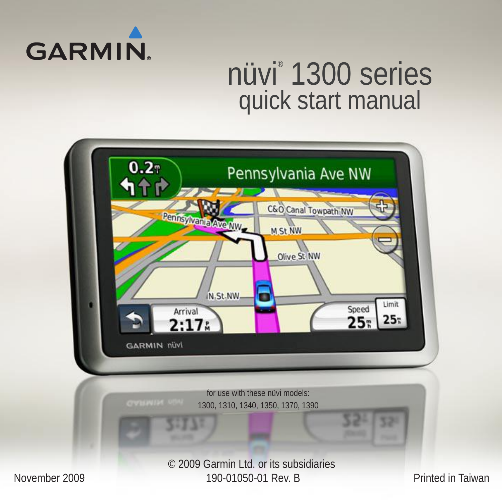

# nüvi® 1300 series quick start manual

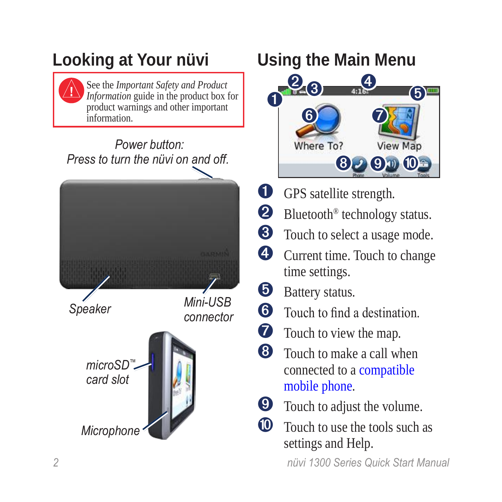### **Looking at Your nüvi**



See the *Important Safety and Product Information* guide in the product box for product warnings and other important information.

#### *Power button: Press to turn the nüvi on and off.*



### **Using the Main Menu**



- **O** GPS satellite strength.
- <sup>®</sup> Bluetooth<sup>®</sup> technology status.
- ➌ Touch to select a usage mode.
- ➍ Current time. Touch to change time settings.
- **D** Battery status.
- **O** Touch to find a destination.
- **t** Touch to view the map.
- **<sup>6</sup>** Touch to make a call when connected to a [compatible](http://www.garmin.com/bluetooth)  [mobile phone](http://www.garmin.com/bluetooth).
- **v** Touch to adjust the volume.
- **<sup>10</sup>** Touch to use the tools such as settings and Help.

 *nüvi 1300 Series Quick Start Manual*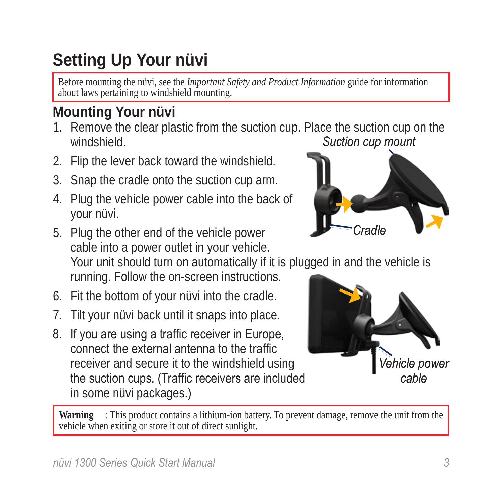*nüvi 1300 Series Quick Start Manual* 

### **Setting Up Your nüvi**

Before mounting the nüvi, see the *Important Safety and Product Information* guide for information about laws pertaining to windshield mounting.

#### **Mounting Your nüvi**

- 1. Remove the clear plastic from the suction cup. Place the suction cup on the **hleidshniw** *Suction cup mount*
- 2. Flip the lever back toward the windshield.
- 3. Snap the cradle onto the suction cup arm.
- 4. Plug the vehicle power cable into the back of your nüvi.

5. Plug the other end of the vehicle power cable into a power outlet in your vehicle. Your unit should turn on automatically if it is plugged in and the vehicle is running. Follow the on-screen instructions. *Cradle*

- 6. Fit the bottom of your nüvi into the cradle.
- 7. Tilt your nüvi back until it snaps into place.
- 8. If you are using a traffic receiver in Europe, connect the external antenna to the traffic receiver and secure it to the windshield using the suction cups. (Traffic receivers are included in some nüvi packages.)

Warning : This product contains a lithium-ion battery. To prevent damage, remove the unit from the vehicle when exiting or store it out of direct sunlight.



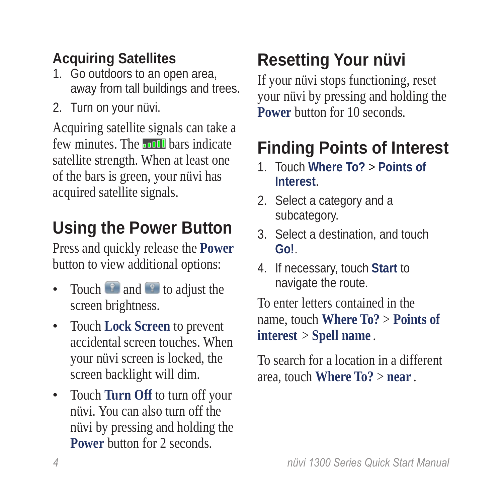#### **Acquiring Satellites**

- 1. Go outdoors to an open area, away from tall buildings and trees.
- 2. Turn on your nüvi.

Acquiring satellite signals can take a few minutes. The **bars** indicate satellite strength. When at least one of the bars is green, your nüvi has acquired satellite signals.

### **Using the Power Button**

Press and quickly release the **Power** button to view additional options:

- Touch  $\bullet$  and  $\bullet$  to adjust the screen brightness.
- Touch **Lock Screen** to prevent accidental screen touches. When your nüvi screen is locked, the screen backlight will dim.
- Touch **Turn Off** to turn off your nüvi. You can also turn off the nüvi by pressing and holding the **Power** button for 2 seconds.

## **Resetting Your nüvi**

If your nüvi stops functioning, reset your nüvi by pressing and holding the **Power** button for 10 seconds.

### **Finding Points of Interest**

- 1. Touch **Where To?** > **Points of Interest**.
- 2. Select a category and a subcategory.
- 3. Select a destination, and touch **Go!**.
- 4. If necessary, touch **Start** to navigate the route.

To enter letters contained in the name, touch **Where To?** > **Points of interest** > **Spell name** .

To search for a location in a different area, touch **Where To?** > **near** .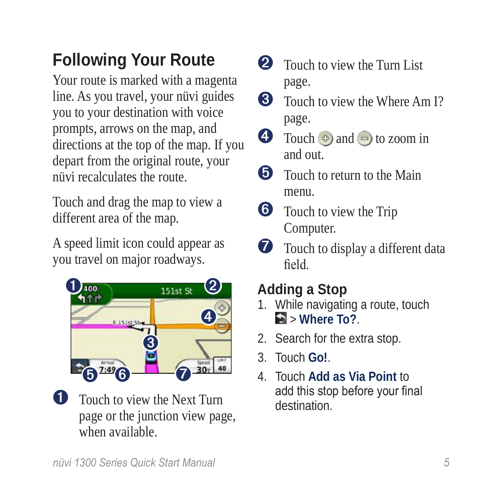### **Following Your Route**

Your route is marked with a magenta line. As you travel, your nüvi guides you to your destination with voice prompts, arrows on the map, and directions at the top of the map. If you depart from the original route, your nüvi recalculates the route.

Touch and drag the map to view a different area of the map.

A speed limit icon could appear as you travel on major roadways.



**Q** Touch to view the Next Turn page or the junction view page, when available.

- **2** Touch to view the Turn List page.
- **3** Touch to view the Where Am I? page.
- $\bigodot$  Touch  $\bigodot$  and  $\bigodot$  to zoom in and out.
- **O** Touch to return to the Main menu.
- **O** Touch to view the Trip Computer.
- $\bullet$  Touch to display a different data field.

### **Adding a Stop**

- 1. While navigating a route, touch > **Where To?**.
- 2. Search for the extra stop.
- 3. Touch **Go!**.
- 4. Touch **Add as Via Point** to add this stop before your final destination.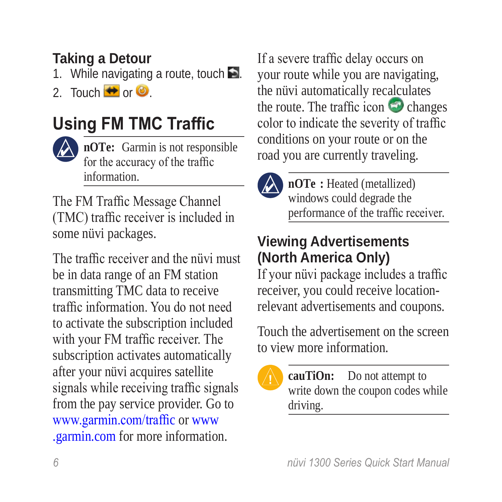#### **Taking a Detour**

1. While navigating a route, touch  $\blacktriangleright$ .

2. Touch  $\leftrightarrow$  or  $\odot$ 

### **Using FM TMC Traffic**



**nOTe:** Garmin is not responsible for the accuracy of the traffic information.

The FM Traffic Message Channel (TMC) traffic receiver is included in some nüvi packages.

The traffic receiver and the nüvi must be in data range of an FM station transmitting TMC data to receive traffic information. You do not need to activate the subscription included with your FM traffic receiver. The subscription activates automatically after your nüvi acquires satellite signals while receiving traffic signals from the pay service provider. Go to [www.garmin.com/traffi](www.garmin.com/traffic)c or [www](www.garmin.com) [.garmin.com](www.garmin.com) for more information.

If a severe traffic delay occurs on your route while you are navigating, the nüvi automatically recalculates the route. The traffic icon  $\bullet$  changes color to indicate the severity of traffic conditions on your route or on the road you are currently traveling.



**nOTe** : Heated (metallized) windows could degrade the performance of the traffic receiver.

#### **Viewing Advertisements (North America Only)**

If your nüvi package includes a traffic receiver, you could receive locationrelevant advertisements and coupons.

Touch the advertisement on the screen to view more information.

**caution:** Do not attempt to write down the coupon codes while driving.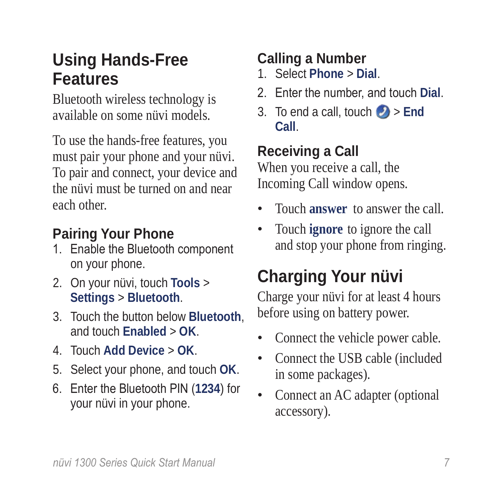### **Using Hands-Free Features**

Bluetooth wireless technology is available on some nüvi models.

To use the hands-free features, you must pair your phone and your nüvi. To pair and connect, your device and the nüvi must be turned on and near each other.

#### **Pairing Your Phone**

- 1. Enable the Bluetooth component on your phone.
- 2. On your nüvi, touch **Tools** > **Settings** > **Bluetooth**.
- 3. Touch the button below **Bluetooth**, and touch **Enabled** > **OK**.
- 4. Touch **Add Device** > **OK**.
- 5. Select your phone, and touch **OK**.
- 6. Enter the Bluetooth PIN (**1234**) for your nüvi in your phone.

#### **Calling a Number**

- 1. Select **Phone** > **Dial**.
- 2. Enter the number, and touch **Dial**.
- 3. To end a call, touch  $\triangleright$  **End Call**.

#### **Receiving a Call**

When you receive a call, the Incoming Call window opens.

- Touch **answer** to answer the call. •
- Touch **ignore** to ignore the call and stop your phone from ringing. •

## **Charging Your nüvi**

Charge your nüvi for at least 4 hours before using on battery power.

- Connect the vehicle power cable. •
- Connect the USB cable (included in some packages). •
- Connect an AC adapter (optional accessory). •